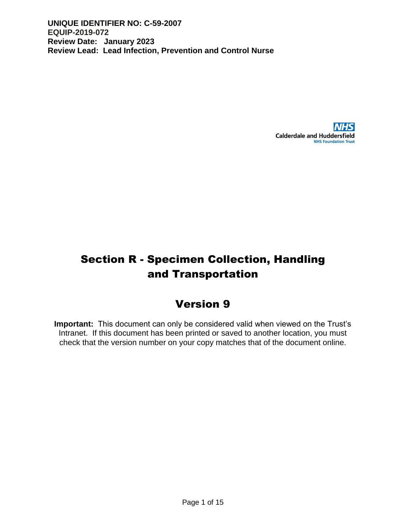

# Section R - Specimen Collection, Handling and Transportation

# Version 9

**Important:** This document can only be considered valid when viewed on the Trust's Intranet. If this document has been printed or saved to another location, you must check that the version number on your copy matches that of the document online.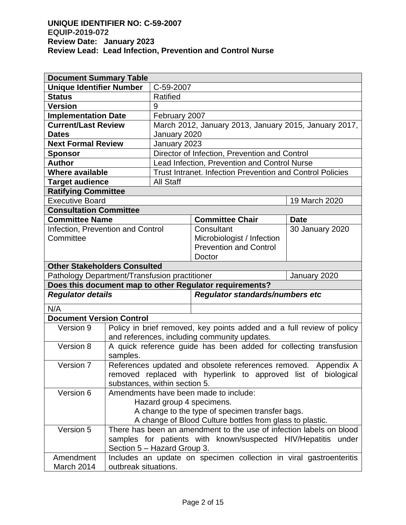| <b>Document Summary Table</b>                                 |                                                                                                             |                                                                  |                                                                   |                 |  |  |
|---------------------------------------------------------------|-------------------------------------------------------------------------------------------------------------|------------------------------------------------------------------|-------------------------------------------------------------------|-----------------|--|--|
| <b>Unique Identifier Number</b>                               |                                                                                                             | C-59-2007                                                        |                                                                   |                 |  |  |
| <b>Status</b>                                                 |                                                                                                             | Ratified                                                         |                                                                   |                 |  |  |
| <b>Version</b>                                                |                                                                                                             | 9                                                                |                                                                   |                 |  |  |
| <b>Implementation Date</b>                                    |                                                                                                             | February 2007                                                    |                                                                   |                 |  |  |
| <b>Current/Last Review</b>                                    |                                                                                                             |                                                                  | March 2012, January 2013, January 2015, January 2017,             |                 |  |  |
| <b>Dates</b>                                                  |                                                                                                             | January 2020                                                     |                                                                   |                 |  |  |
| <b>Next Formal Review</b>                                     |                                                                                                             | January 2023                                                     |                                                                   |                 |  |  |
| <b>Sponsor</b>                                                |                                                                                                             | Director of Infection, Prevention and Control                    |                                                                   |                 |  |  |
| <b>Author</b>                                                 |                                                                                                             | Lead Infection, Prevention and Control Nurse                     |                                                                   |                 |  |  |
| <b>Where available</b>                                        |                                                                                                             | <b>Trust Intranet. Infection Prevention and Control Policies</b> |                                                                   |                 |  |  |
| <b>Target audience</b>                                        |                                                                                                             | <b>All Staff</b>                                                 |                                                                   |                 |  |  |
| <b>Ratifying Committee</b>                                    |                                                                                                             |                                                                  |                                                                   |                 |  |  |
| <b>Executive Board</b>                                        |                                                                                                             |                                                                  |                                                                   | 19 March 2020   |  |  |
| <b>Consultation Committee</b>                                 |                                                                                                             |                                                                  |                                                                   |                 |  |  |
| <b>Committee Name</b>                                         |                                                                                                             |                                                                  | <b>Committee Chair</b>                                            | <b>Date</b>     |  |  |
| Infection, Prevention and Control                             |                                                                                                             |                                                                  | Consultant                                                        | 30 January 2020 |  |  |
| Committee                                                     |                                                                                                             |                                                                  | Microbiologist / Infection                                        |                 |  |  |
|                                                               |                                                                                                             |                                                                  | <b>Prevention and Control</b>                                     |                 |  |  |
|                                                               |                                                                                                             |                                                                  | Doctor                                                            |                 |  |  |
| <b>Other Stakeholders Consulted</b>                           |                                                                                                             |                                                                  |                                                                   |                 |  |  |
| Pathology Department/Transfusion practitioner                 |                                                                                                             |                                                                  |                                                                   | January 2020    |  |  |
|                                                               |                                                                                                             |                                                                  | Does this document map to other Regulator requirements?           |                 |  |  |
| <b>Regulator details</b>                                      |                                                                                                             |                                                                  | Regulator standards/numbers etc                                   |                 |  |  |
| N/A                                                           |                                                                                                             |                                                                  |                                                                   |                 |  |  |
| <b>Document Version Control</b>                               |                                                                                                             |                                                                  |                                                                   |                 |  |  |
| Version 9                                                     | Policy in brief removed, key points added and a full review of policy                                       |                                                                  |                                                                   |                 |  |  |
|                                                               |                                                                                                             |                                                                  | and references, including community updates.                      |                 |  |  |
| Version 8                                                     |                                                                                                             |                                                                  | A quick reference guide has been added for collecting transfusion |                 |  |  |
|                                                               | samples.                                                                                                    |                                                                  |                                                                   |                 |  |  |
| Version 7                                                     |                                                                                                             |                                                                  | References updated and obsolete references removed. Appendix A    |                 |  |  |
|                                                               |                                                                                                             |                                                                  | removed replaced with hyperlink to approved list of biological    |                 |  |  |
| Version 6                                                     | substances, within section 5.                                                                               |                                                                  | Amendments have been made to include:                             |                 |  |  |
|                                                               |                                                                                                             |                                                                  |                                                                   |                 |  |  |
|                                                               |                                                                                                             |                                                                  | Hazard group 4 specimens.                                         |                 |  |  |
|                                                               | A change to the type of specimen transfer bags.<br>A change of Blood Culture bottles from glass to plastic. |                                                                  |                                                                   |                 |  |  |
|                                                               |                                                                                                             |                                                                  |                                                                   |                 |  |  |
|                                                               | Version 5<br>There has been an amendment to the use of infection labels on blood                            |                                                                  |                                                                   |                 |  |  |
| samples for patients with known/suspected HIV/Hepatitis under |                                                                                                             |                                                                  |                                                                   |                 |  |  |
| Amendment                                                     | Section 5 – Hazard Group 3.                                                                                 |                                                                  |                                                                   |                 |  |  |
|                                                               | Includes an update on specimen collection in viral gastroenteritis<br>outbreak situations.                  |                                                                  |                                                                   |                 |  |  |
| March 2014                                                    |                                                                                                             |                                                                  |                                                                   |                 |  |  |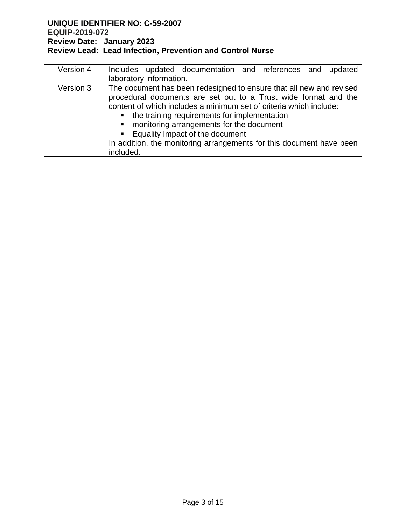| Version 4 | Includes updated documentation and references and updated            |  |  |  |  |
|-----------|----------------------------------------------------------------------|--|--|--|--|
|           | laboratory information.                                              |  |  |  |  |
| Version 3 | The document has been redesigned to ensure that all new and revised  |  |  |  |  |
|           | procedural documents are set out to a Trust wide format and the      |  |  |  |  |
|           | content of which includes a minimum set of criteria which include:   |  |  |  |  |
|           | • the training requirements for implementation                       |  |  |  |  |
|           | • monitoring arrangements for the document                           |  |  |  |  |
|           | ■ Equality Impact of the document                                    |  |  |  |  |
|           | In addition, the monitoring arrangements for this document have been |  |  |  |  |
|           | included.                                                            |  |  |  |  |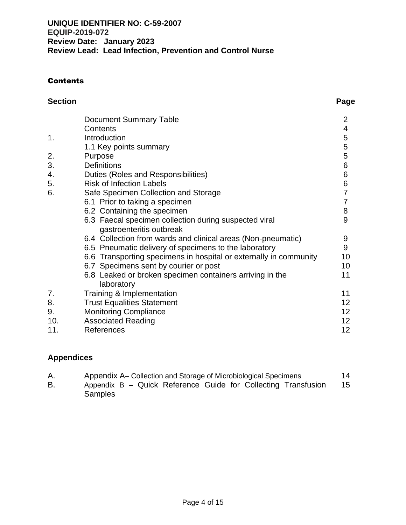# **Contents**

| <b>Section</b> |                                                                        | Page             |
|----------------|------------------------------------------------------------------------|------------------|
|                | <b>Document Summary Table</b>                                          | 2                |
|                | Contents                                                               | 4                |
| 1.             | Introduction                                                           |                  |
|                | 1.1 Key points summary                                                 | 5<br>5<br>5<br>5 |
| 2.             | Purpose                                                                |                  |
| 3.             | <b>Definitions</b>                                                     | $\,6$            |
| 4.             | Duties (Roles and Responsibilities)                                    | 6                |
| 5.             | <b>Risk of Infection Labels</b>                                        | 6                |
| 6.             | Safe Specimen Collection and Storage                                   | $\overline{7}$   |
|                | 6.1 Prior to taking a specimen                                         | $\overline{7}$   |
|                | 6.2 Containing the specimen                                            | 8                |
|                | 6.3 Faecal specimen collection during suspected viral                  | 9                |
|                | gastroenteritis outbreak                                               |                  |
|                | 6.4 Collection from wards and clinical areas (Non-pneumatic)           | 9                |
|                | 6.5 Pneumatic delivery of specimens to the laboratory                  | 9                |
|                | 6.6 Transporting specimens in hospital or externally in community      | 10               |
|                | 6.7 Specimens sent by courier or post                                  | 10               |
|                | 6.8 Leaked or broken specimen containers arriving in the<br>laboratory | 11               |
| 7.             | Training & Implementation                                              | 11               |
| 8.             | <b>Trust Equalities Statement</b>                                      | 12 <sub>2</sub>  |
| 9.             | <b>Monitoring Compliance</b>                                           | 12 <sub>2</sub>  |
| 10.            | <b>Associated Reading</b>                                              | 12 <sub>2</sub>  |
| 11.            | References                                                             | 12               |

# **Appendices**

| Α. | Appendix A– Collection and Storage of Microbiological Specimens | 14 |
|----|-----------------------------------------------------------------|----|
| В. | Appendix B – Quick Reference Guide for Collecting Transfusion   | 15 |
|    | <b>Samples</b>                                                  |    |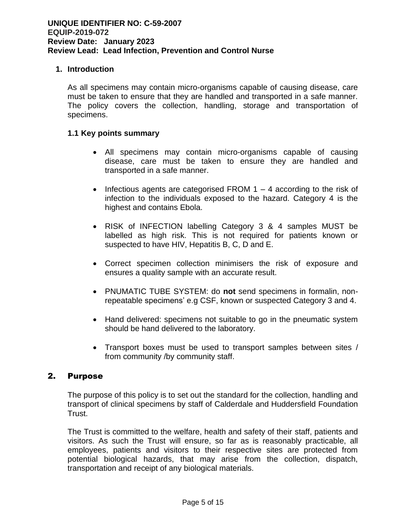#### **1. Introduction**

As all specimens may contain micro-organisms capable of causing disease, care must be taken to ensure that they are handled and transported in a safe manner. The policy covers the collection, handling, storage and transportation of specimens.

#### **1.1 Key points summary**

- All specimens may contain micro-organisms capable of causing disease, care must be taken to ensure they are handled and transported in a safe manner.
- Infectious agents are categorised FROM  $1 4$  according to the risk of infection to the individuals exposed to the hazard. Category 4 is the highest and contains Ebola.
- RISK of INFECTION labelling Category 3 & 4 samples MUST be labelled as high risk. This is not required for patients known or suspected to have HIV, Hepatitis B, C, D and E.
- Correct specimen collection minimisers the risk of exposure and ensures a quality sample with an accurate result.
- PNUMATIC TUBE SYSTEM: do **not** send specimens in formalin, nonrepeatable specimens' e.g CSF, known or suspected Category 3 and 4.
- Hand delivered: specimens not suitable to go in the pneumatic system should be hand delivered to the laboratory.
- Transport boxes must be used to transport samples between sites / from community /by community staff.

#### 2. Purpose

The purpose of this policy is to set out the standard for the collection, handling and transport of clinical specimens by staff of Calderdale and Huddersfield Foundation Trust.

The Trust is committed to the welfare, health and safety of their staff, patients and visitors. As such the Trust will ensure, so far as is reasonably practicable, all employees, patients and visitors to their respective sites are protected from potential biological hazards, that may arise from the collection, dispatch, transportation and receipt of any biological materials.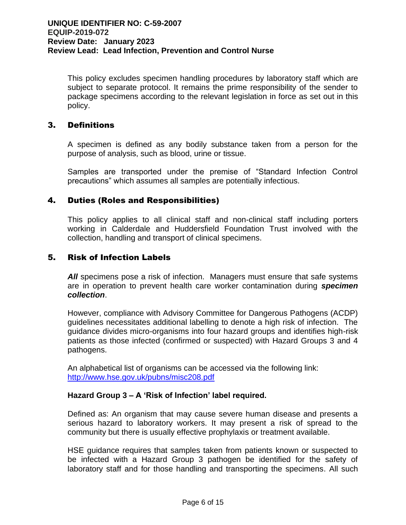This policy excludes specimen handling procedures by laboratory staff which are subject to separate protocol. It remains the prime responsibility of the sender to package specimens according to the relevant legislation in force as set out in this policy.

# 3. Definitions

A specimen is defined as any bodily substance taken from a person for the purpose of analysis, such as blood, urine or tissue.

Samples are transported under the premise of "Standard Infection Control precautions" which assumes all samples are potentially infectious.

# 4. Duties (Roles and Responsibilities)

This policy applies to all clinical staff and non-clinical staff including porters working in Calderdale and Huddersfield Foundation Trust involved with the collection, handling and transport of clinical specimens.

#### 5. Risk of Infection Labels

**All** specimens pose a risk of infection. Managers must ensure that safe systems are in operation to prevent health care worker contamination during *specimen collection*.

However, compliance with Advisory Committee for Dangerous Pathogens (ACDP) guidelines necessitates additional labelling to denote a high risk of infection. The guidance divides micro-organisms into four hazard groups and identifies high-risk patients as those infected (confirmed or suspected) with Hazard Groups 3 and 4 pathogens.

An alphabetical list of organisms can be accessed via the following link: <http://www.hse.gov.uk/pubns/misc208.pdf>

#### **Hazard Group 3 – A 'Risk of Infection' label required.**

Defined as: An organism that may cause severe human disease and presents a serious hazard to laboratory workers. It may present a risk of spread to the community but there is usually effective prophylaxis or treatment available.

HSE guidance requires that samples taken from patients known or suspected to be infected with a Hazard Group 3 pathogen be identified for the safety of laboratory staff and for those handling and transporting the specimens. All such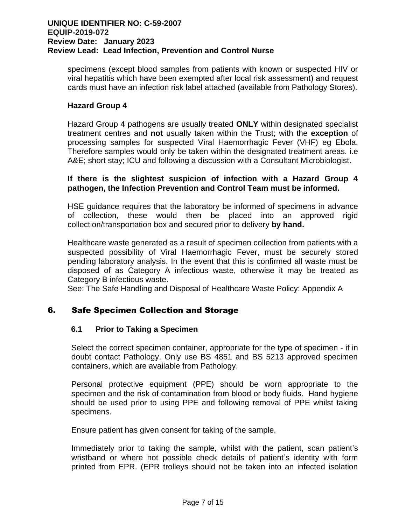specimens (except blood samples from patients with known or suspected HIV or viral hepatitis which have been exempted after local risk assessment) and request cards must have an infection risk label attached (available from Pathology Stores).

#### **Hazard Group 4**

Hazard Group 4 pathogens are usually treated **ONLY** within designated specialist treatment centres and **not** usually taken within the Trust; with the **exception** of processing samples for suspected Viral Haemorrhagic Fever (VHF) eg Ebola. Therefore samples would only be taken within the designated treatment areas. i.e A&E; short stay; ICU and following a discussion with a Consultant Microbiologist.

#### **If there is the slightest suspicion of infection with a Hazard Group 4 pathogen, the Infection Prevention and Control Team must be informed.**

HSE guidance requires that the laboratory be informed of specimens in advance of collection, these would then be placed into an approved rigid collection/transportation box and secured prior to delivery **by hand.**

Healthcare waste generated as a result of specimen collection from patients with a suspected possibility of Viral Haemorrhagic Fever, must be securely stored pending laboratory analysis. In the event that this is confirmed all waste must be disposed of as Category A infectious waste, otherwise it may be treated as Category B infectious waste.

See: The Safe Handling and Disposal of Healthcare Waste Policy: Appendix A

# 6. Safe Specimen Collection and Storage

#### **6.1 Prior to Taking a Specimen**

Select the correct specimen container, appropriate for the type of specimen - if in doubt contact Pathology. Only use BS 4851 and BS 5213 approved specimen containers, which are available from Pathology.

Personal protective equipment (PPE) should be worn appropriate to the specimen and the risk of contamination from blood or body fluids. Hand hygiene should be used prior to using PPE and following removal of PPE whilst taking specimens.

Ensure patient has given consent for taking of the sample.

Immediately prior to taking the sample, whilst with the patient, scan patient's wristband or where not possible check details of patient's identity with form printed from EPR. (EPR trolleys should not be taken into an infected isolation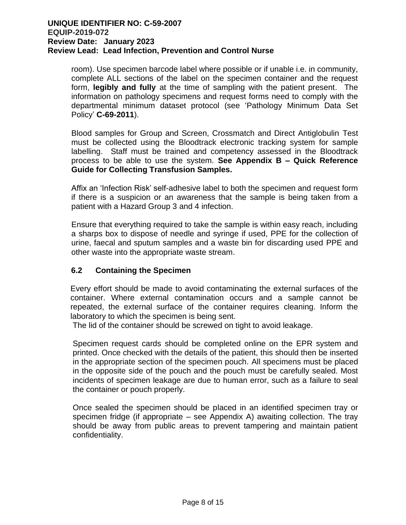room). Use specimen barcode label where possible or if unable i.e. in community, complete ALL sections of the label on the specimen container and the request form, **legibly and fully** at the time of sampling with the patient present. The information on pathology specimens and request forms need to comply with the departmental minimum dataset protocol (see 'Pathology Minimum Data Set Policy' **C-69-2011**).

Blood samples for Group and Screen, Crossmatch and Direct Antiglobulin Test must be collected using the Bloodtrack electronic tracking system for sample labelling. Staff must be trained and competency assessed in the Bloodtrack process to be able to use the system. **See Appendix B – Quick Reference Guide for Collecting Transfusion Samples.**

Affix an 'Infection Risk' self-adhesive label to both the specimen and request form if there is a suspicion or an awareness that the sample is being taken from a patient with a Hazard Group 3 and 4 infection.

Ensure that everything required to take the sample is within easy reach, including a sharps box to dispose of needle and syringe if used, PPE for the collection of urine, faecal and sputum samples and a waste bin for discarding used PPE and other waste into the appropriate waste stream.

# **6.2 Containing the Specimen**

Every effort should be made to avoid contaminating the external surfaces of the container. Where external contamination occurs and a sample cannot be repeated, the external surface of the container requires cleaning. Inform the laboratory to which the specimen is being sent.

The lid of the container should be screwed on tight to avoid leakage.

Specimen request cards should be completed online on the EPR system and printed. Once checked with the details of the patient, this should then be inserted in the appropriate section of the specimen pouch. All specimens must be placed in the opposite side of the pouch and the pouch must be carefully sealed. Most incidents of specimen leakage are due to human error, such as a failure to seal the container or pouch properly.

Once sealed the specimen should be placed in an identified specimen tray or specimen fridge (if appropriate – see Appendix A) awaiting collection. The tray should be away from public areas to prevent tampering and maintain patient confidentiality.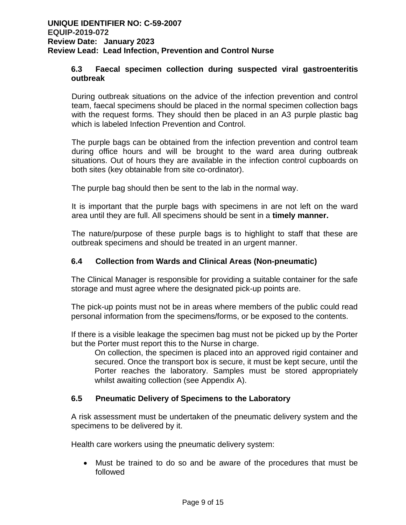### **6.3 Faecal specimen collection during suspected viral gastroenteritis outbreak**

During outbreak situations on the advice of the infection prevention and control team, faecal specimens should be placed in the normal specimen collection bags with the request forms. They should then be placed in an A3 purple plastic bag which is labeled Infection Prevention and Control.

The purple bags can be obtained from the infection prevention and control team during office hours and will be brought to the ward area during outbreak situations. Out of hours they are available in the infection control cupboards on both sites (key obtainable from site co-ordinator).

The purple bag should then be sent to the lab in the normal way.

It is important that the purple bags with specimens in are not left on the ward area until they are full. All specimens should be sent in a **timely manner.**

The nature/purpose of these purple bags is to highlight to staff that these are outbreak specimens and should be treated in an urgent manner.

#### **6.4 Collection from Wards and Clinical Areas (Non-pneumatic)**

The Clinical Manager is responsible for providing a suitable container for the safe storage and must agree where the designated pick-up points are.

The pick-up points must not be in areas where members of the public could read personal information from the specimens/forms, or be exposed to the contents.

If there is a visible leakage the specimen bag must not be picked up by the Porter but the Porter must report this to the Nurse in charge.

On collection, the specimen is placed into an approved rigid container and secured. Once the transport box is secure, it must be kept secure, until the Porter reaches the laboratory. Samples must be stored appropriately whilst awaiting collection (see Appendix A).

#### **6.5 Pneumatic Delivery of Specimens to the Laboratory**

A risk assessment must be undertaken of the pneumatic delivery system and the specimens to be delivered by it.

Health care workers using the pneumatic delivery system:

• Must be trained to do so and be aware of the procedures that must be followed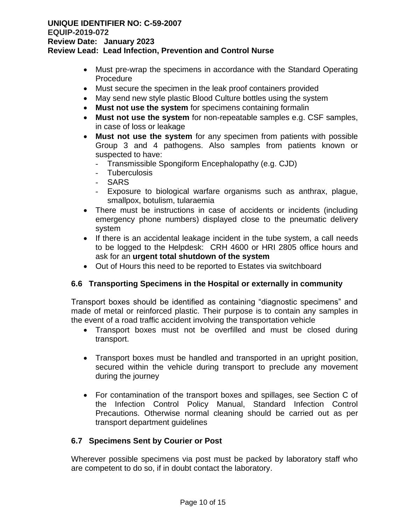- Must pre-wrap the specimens in accordance with the Standard Operating Procedure
- Must secure the specimen in the leak proof containers provided
- May send new style plastic Blood Culture bottles using the system
- **Must not use the system** for specimens containing formalin
- **Must not use the system** for non-repeatable samples e.g. CSF samples, in case of loss or leakage
- **Must not use the system** for any specimen from patients with possible Group 3 and 4 pathogens. Also samples from patients known or suspected to have:
	- Transmissible Spongiform Encephalopathy (e.g. CJD)
	- Tuberculosis
	- SARS
	- Exposure to biological warfare organisms such as anthrax, plague, smallpox, botulism, tularaemia
- There must be instructions in case of accidents or incidents (including emergency phone numbers) displayed close to the pneumatic delivery system
- If there is an accidental leakage incident in the tube system, a call needs to be logged to the Helpdesk: CRH 4600 or HRI 2805 office hours and ask for an **urgent total shutdown of the system**
- Out of Hours this need to be reported to Estates via switchboard

# **6.6 Transporting Specimens in the Hospital or externally in community**

Transport boxes should be identified as containing "diagnostic specimens" and made of metal or reinforced plastic. Their purpose is to contain any samples in the event of a road traffic accident involving the transportation vehicle

- Transport boxes must not be overfilled and must be closed during transport.
- Transport boxes must be handled and transported in an upright position, secured within the vehicle during transport to preclude any movement during the journey
- For contamination of the transport boxes and spillages, see Section C of the Infection Control Policy Manual, Standard Infection Control Precautions. Otherwise normal cleaning should be carried out as per transport department guidelines

#### **6.7 Specimens Sent by Courier or Post**

Wherever possible specimens via post must be packed by laboratory staff who are competent to do so, if in doubt contact the laboratory.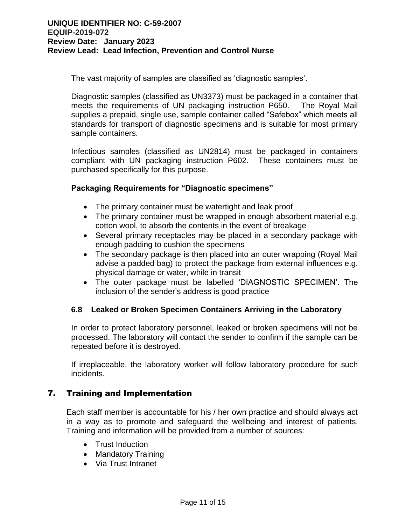The vast majority of samples are classified as 'diagnostic samples'.

Diagnostic samples (classified as UN3373) must be packaged in a container that meets the requirements of UN packaging instruction P650. The Royal Mail supplies a prepaid, single use, sample container called "Safebox" which meets all standards for transport of diagnostic specimens and is suitable for most primary sample containers.

Infectious samples (classified as UN2814) must be packaged in containers compliant with UN packaging instruction P602. These containers must be purchased specifically for this purpose.

#### **Packaging Requirements for "Diagnostic specimens"**

- The primary container must be watertight and leak proof
- The primary container must be wrapped in enough absorbent material e.g. cotton wool, to absorb the contents in the event of breakage
- Several primary receptacles may be placed in a secondary package with enough padding to cushion the specimens
- The secondary package is then placed into an outer wrapping (Royal Mail) advise a padded bag) to protect the package from external influences e.g. physical damage or water, while in transit
- The outer package must be labelled 'DIAGNOSTIC SPECIMEN'. The inclusion of the sender's address is good practice

#### **6.8 Leaked or Broken Specimen Containers Arriving in the Laboratory**

In order to protect laboratory personnel, leaked or broken specimens will not be processed. The laboratory will contact the sender to confirm if the sample can be repeated before it is destroyed.

If irreplaceable, the laboratory worker will follow laboratory procedure for such incidents.

#### 7. Training and Implementation

Each staff member is accountable for his / her own practice and should always act in a way as to promote and safeguard the wellbeing and interest of patients. Training and information will be provided from a number of sources:

- Trust Induction
- Mandatory Training
- Via Trust Intranet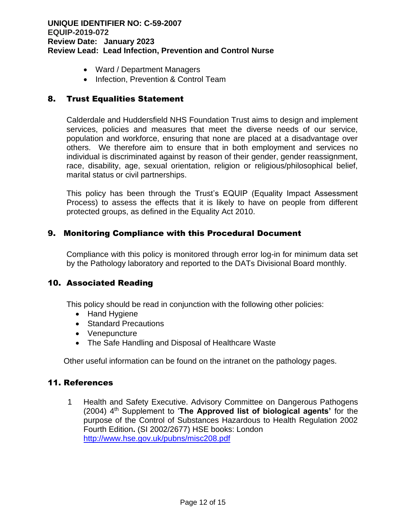- Ward / Department Managers
- Infection, Prevention & Control Team

# 8. Trust Equalities Statement

Calderdale and Huddersfield NHS Foundation Trust aims to design and implement services, policies and measures that meet the diverse needs of our service, population and workforce, ensuring that none are placed at a disadvantage over others. We therefore aim to ensure that in both employment and services no individual is discriminated against by reason of their gender, gender reassignment, race, disability, age, sexual orientation, religion or religious/philosophical belief, marital status or civil partnerships.

This policy has been through the Trust's EQUIP (Equality Impact Assessment Process) to assess the effects that it is likely to have on people from different protected groups, as defined in the Equality Act 2010.

# 9. Monitoring Compliance with this Procedural Document

Compliance with this policy is monitored through error log-in for minimum data set by the Pathology laboratory and reported to the DATs Divisional Board monthly.

#### 10. Associated Reading

This policy should be read in conjunction with the following other policies:

- Hand Hygiene
- Standard Precautions
- Venepuncture
- The Safe Handling and Disposal of Healthcare Waste

Other useful information can be found on the intranet on the pathology pages.

# 11. References

1 Health and Safety Executive. Advisory Committee on Dangerous Pathogens (2004) 4 th Supplement to '**The Approved list of biological agents'** for the purpose of the Control of Substances Hazardous to Health Regulation 2002 Fourth Edition**.** (SI 2002/2677) HSE books: London <http://www.hse.gov.uk/pubns/misc208.pdf>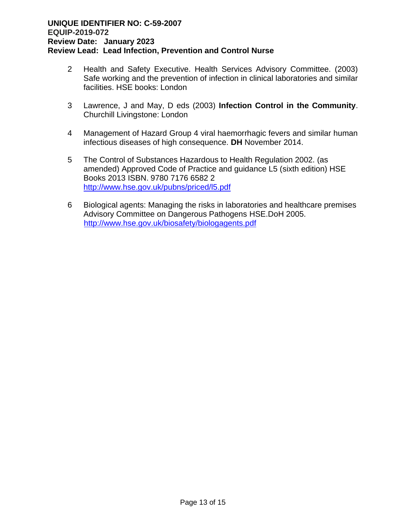- 2 Health and Safety Executive. Health Services Advisory Committee. (2003) Safe working and the prevention of infection in clinical laboratories and similar facilities. HSE books: London
- 3 Lawrence, J and May, D eds (2003) **Infection Control in the Community**. Churchill Livingstone: London
- 4 Management of Hazard Group 4 viral haemorrhagic fevers and similar human infectious diseases of high consequence. **DH** November 2014.
- 5 The Control of Substances Hazardous to Health Regulation 2002. (as amended) Approved Code of Practice and guidance L5 (sixth edition) HSE Books 2013 ISBN. 9780 7176 6582 2 <http://www.hse.gov.uk/pubns/priced/l5.pdf>
- 6 Biological agents: Managing the risks in laboratories and healthcare premises Advisory Committee on Dangerous Pathogens HSE.DoH 2005. [http://www.hse.gov.uk/biosafety/biologagents.pdf](http://www.hse.gov.uk/biosafety/biologagents.pdf%0c)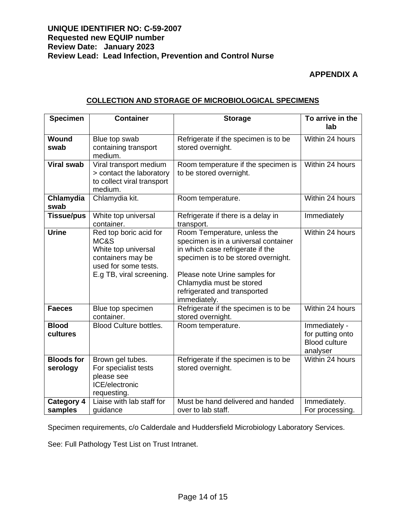### **UNIQUE IDENTIFIER NO: C-59-2007 Requested new EQUIP number Review Date: January 2023 Review Lead: Lead Infection, Prevention and Control Nurse**

# **APPENDIX A**

#### **COLLECTION AND STORAGE OF MICROBIOLOGICAL SPECIMENS**

| <b>Specimen</b>               | <b>Container</b>                                                                                                               | <b>Storage</b>                                                                                                                                                                                                                                               | To arrive in the<br>lab                                               |
|-------------------------------|--------------------------------------------------------------------------------------------------------------------------------|--------------------------------------------------------------------------------------------------------------------------------------------------------------------------------------------------------------------------------------------------------------|-----------------------------------------------------------------------|
| Wound<br>swab                 | Blue top swab<br>containing transport<br>medium.                                                                               | Refrigerate if the specimen is to be<br>stored overnight.                                                                                                                                                                                                    | Within 24 hours                                                       |
| <b>Viral swab</b>             | Viral transport medium<br>> contact the laboratory<br>to collect viral transport<br>medium.                                    | Room temperature if the specimen is<br>to be stored overnight.                                                                                                                                                                                               | Within 24 hours                                                       |
| Chlamydia<br>swab             | Chlamydia kit.                                                                                                                 | Room temperature.                                                                                                                                                                                                                                            | Within 24 hours                                                       |
| <b>Tissue/pus</b>             | White top universal<br>container.                                                                                              | Refrigerate if there is a delay in<br>transport.                                                                                                                                                                                                             | Immediately                                                           |
| <b>Urine</b>                  | Red top boric acid for<br>MC&S<br>White top universal<br>containers may be<br>used for some tests.<br>E.g TB, viral screening. | Room Temperature, unless the<br>specimen is in a universal container<br>in which case refrigerate if the<br>specimen is to be stored overnight.<br>Please note Urine samples for<br>Chlamydia must be stored<br>refrigerated and transported<br>immediately. | Within 24 hours                                                       |
| <b>Faeces</b>                 | Blue top specimen<br>container.                                                                                                | Refrigerate if the specimen is to be<br>stored overnight.                                                                                                                                                                                                    | Within 24 hours                                                       |
| <b>Blood</b><br>cultures      | <b>Blood Culture bottles.</b>                                                                                                  | Room temperature.                                                                                                                                                                                                                                            | Immediately -<br>for putting onto<br><b>Blood culture</b><br>analyser |
| <b>Bloods for</b><br>serology | Brown gel tubes.<br>For specialist tests<br>please see<br>ICE/electronic<br>requesting.                                        | Refrigerate if the specimen is to be<br>stored overnight.                                                                                                                                                                                                    | Within 24 hours                                                       |
| <b>Category 4</b><br>samples  | Liaise with lab staff for<br>guidance                                                                                          | Must be hand delivered and handed<br>over to lab staff.                                                                                                                                                                                                      | Immediately.<br>For processing.                                       |

Specimen requirements, c/o Calderdale and Huddersfield Microbiology Laboratory Services.

See: Full Pathology Test List on Trust Intranet.